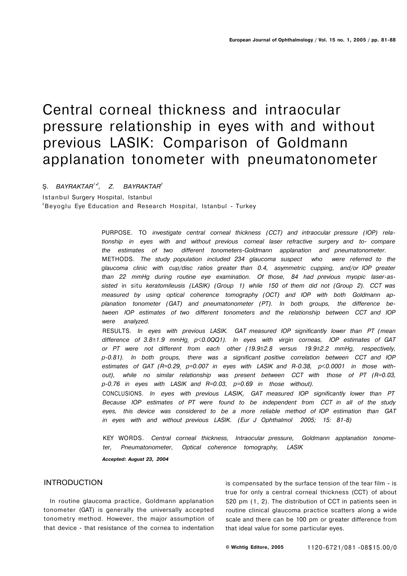# Central corneal thickness and intraocular pressure relationship in eyes with and without previous LASIK: Comparison of Goldmann applanation tonometer with pneumatonometer

Ş. *BAYRAKTAR<sup>1</sup> ' 2 , Z. BAYRAKTAR<sup>2</sup>*

Istanbul Surgery Hospital, Istanbul <sup>2</sup>Beyoglu Eye Education and Research Hospital, Istanbul - Turkey

> PURPOSE. TO *investigate central corneal thickness (CCT) and intraocular pressure (IOP) relationship in eyes with and without previous corneal laser refractive surgery and to- compare the estimates of two different tonometers-Goldmann applanation and pneumatonometer.*  METHODS. *The study population included 234 glaucoma suspect who were referred to the glaucoma clinic with cup/disc ratios greater than 0.4, asymmetric cupping, and/or IOP greater than 22 mmHg during routine eye examination. Of those, 84 had previous myopic laser-assisted* in situ *keratomileusis (LASIK) (Group 1) while 150 of them did not (Group 2). CCT was measured by using optical coherence tomography (OCT) and IOP with both Goldmann applanation tonometer (GAT) and pneumatonometer (PT). In both groups, the difference between IOP estimates of two different tonometers and the relationship between CCT and IOP were analyzed.*

> RESULTS. *In eyes with previous LASIK. GAT measured IOP significantly lower than PT (mean difference of 3.8±1.9 mmHg<sup>t</sup> p<0.0QQ1). In eyes with virgin corneas, IOP estimates of GAT or PT were not different from each other (19.9±2.8 versus 19.9±2.2 mmHg, respectively, p-0.81). In both groups, there was a significant positive correlation between CCT and IOP*  estimates of GAT (R=0.29, p=0.007 in eyes with LASIK and R-0.38, p<0.0001 in those with*out), while no similar relationship was present between CCT with those of PT (R=0.03, p-0.76 in eyes with LASIK and R=0.03, p=0.69 in those without).*

> CONCLUSIONS. *In eyes with previous LASIK, GAT measured IOP significantly lower than PT Because IOP estimates of PT were found to be independent from CCT in all of the study eyes, this device was considered to be a more reliable method of IOP estimation than GAT in eyes with and without previous LASIK. (Eur J Ophthalmol 2005; 15: 81-8)*

> KEY WORDS. *Central corneal thickness, Intraocular pressure, Goldmann applanation tonometer, Pneumatonometer, Optical coherence tomography, LASIK*

*Accepted: August 23, 2004* 

## INTRODUCTION

In routine glaucoma practice, Goldmann applanation tonometer (GAT) is generally the universally accepted tonometry method. However, the major assumption of that device - that resistance of the cornea to indentation

is compensated by the surface tension of the tear film - is true for only a central corneal thickness (CCT) of about 520 pm (1, 2). The distribution of CCT in patients seen in routine clinical glaucoma practice scatters along a wide scale and there can be 100 pm or greater difference from that ideal value for some particular eyes.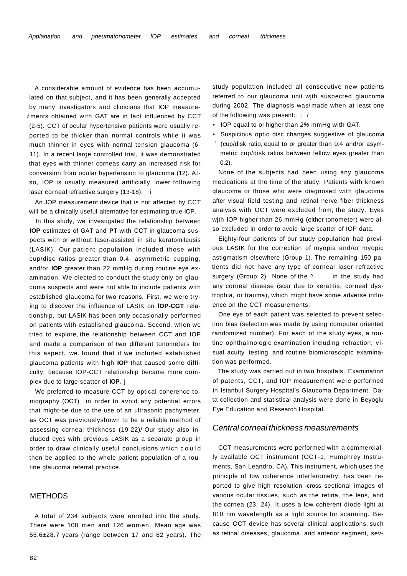A considerable amount of evidence has been accumulated on that subject, and it has been generally accepted by many investigators and clinicians that IOP measure**i** ments obtained with GAT are in fact influenced by CCT (2-5). CCT of ocular hypertensive patients were usually reported to be thicker than normal controls while it was much thinner in eyes with normal tension glaucoma (6- 11). In a recent large controlled trial, it was demonstrated that eyes with thinner corneas carry an increased risk for conversion from ocular hypertension to glaucoma (12). Also, IOP is usually measured artificially, lower following laser corneal refractive surgery (13-18). i

An JOP measurement device that is not affected by CCT will be a clinically useful alternative for estimating true IOP.

In this study, we investigated the relationship between **IOP** estimates of GAT and **PT** with CCT in glaucoma suspects with or without laser-assisted in situ keratomileusis (LASIK). Our patient population included those with cup/disc ratios greater than 0.4, asymrnetric cupping, and/or **IOP** greater than 22 mmHg during routine eye examination. We elected to conduct the study only on glaucoma suspects and were not able to include patients with established glaucoma for two reasons. First, we were trying to discover the influence of LASIK on **lOP-CGT** relationship, but LASIK has been only occasionally performed on patients with established glaucoma. Second, when we tried to explore, the relationship between CCT and IOP and made a comparison of two different tonometers for this aspect, we. found that if we included established glaucoma patients with high **IOP** that caused some difficulty, because IOP-CCT relationship became more complex due to large scatter of **IOP.** j

We preferred to measure CCT by optical coherence tomography (OCT) in order to avoid any potential errors that might-be due to the use of an ultrasonic pachymeter, as OCT was previouslyshown to be a reliable method of assessing corneal thickness (19-22)/ Our study also included eyes with previous LASIK as a separate group in order to draw clinically useful conclusions which coul d then be applied to the whole patient population of a routine glaucoma referral practice,

### METHODS

A total of 234 subjects were enrolled into the study. There were 108 men and 126 women. Mean age was 55.6±28.7 years (range between 17 and 82 years). The study population included all consecutive new patients referred to our glaucoma unit wjth suspected glaucoma during 2002. The diagnosis was/ made when at least one of the following was present: . /

- IOP equal to or higher than 2% mmHg with GAT.
- Suspicious optic disc changes suggestive of glaucoma (cup/disk ratio, equal to or greater than 0.4 and/or asymmetric cup/disk ratios between fellow eyes greater than 0.2).

None of the subjects had been using any glaucoma medications at the time of the study. Patients with known glaucoma or those who were diagnosed with glaucoma after visual field testing and retinal nerve fiber thickness analysis with OCT were excluded from; the study. Eyes wjth IOP higher than 26 mmHg (either tonometer) were also excluded in order to avoid large scatter of IOP data.

Eighty-four patients of our study population had previous LASIK for the correction of myopia and/or myopic astigmatism elsewhere (Group 1). The remaining 150 patients did not have any type of corneal laser refractive surgery (Group; 2). None of the  $\wedge$  in the study had any corneal disease (scar due to keratitis, corneal dystrophia, or trauma), which might have some adverse influence on the CCT measurements;

One eye of each patient was selected to prevent selection bias (selection was made by using computer oriented randomized number). For each of the study eyes, a routine ophthalmologic examination including refraction, visual acuity testing and routine biomicroscopic examination was performed.

The study was carried out in two hospitals. Examination of patents, CCT, and IOP measurement were performed in Istanbul Surgery Hospital's Glaucoma Department. Data collection and statistical analysis were done in Beyoglu Eye Education and Research Hospital.

#### Central corneal thickness measurements

CCT measurements were performed with a commercially available OCT instrument (OCT-1, Humphrey Instruments, San Leandro, CA), This instrument, which uses the principle of Iow coherence interferometry, has been reported to give high resolution -cross sectional images of various ocular tissues, such as the retina, the lens, and the cornea (23, 24). It uses a low coherent diode light at 810 nm wavelength as a light source for scanning. Because OCT device has several clinical applications, such as retinal diseases, glaucoma, arid anterior segment, sev-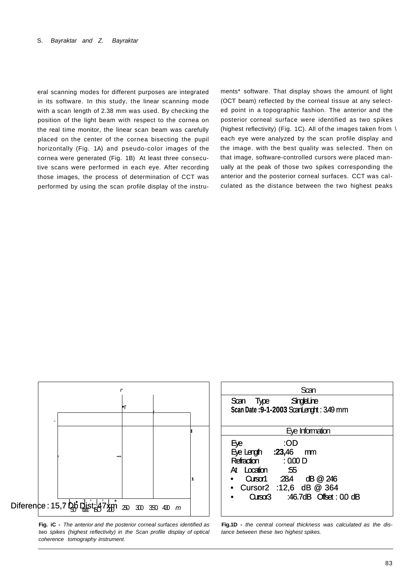eral scanning modes for different purposes are integrated in its software. In this study, the linear scanning mode with a scan length of 2.38 mm was used. By checking the position of the light beam with respect to the cornea on the real time monitor, the linear scan beam was carefully placed on the center of the cornea bisecting the pupil horizontally (Fig. 1A) and pseudo-color images of the cornea were generated (Fig. 1B) At least three consecutive scans were performed in each eye. After recording those images, the process of determination of CCT was performed by using the scan profile display of the instruments\* software. That display shows the amount of light (OCT beam) reflected by the corneal tissue at any selected point in a topographic fashion. The anterior and the posterior corneal surface were identified as two spikes (highest reflectivity) (Fig. 1C). All of the images taken from \ each eye were analyzed by the scan profile display and the image. with the best quality was selected. Then on that image, software-controlled cursors were placed manually at the peak of those two spikes corresponding the anterior and the posterior corneal surfaces. CCT was calculated as the distance between the two highest peaks



**Fig. iC -** The anterior and the posterior corneal surfaces identified as two spikes (highest reflectivity) in the Scan profile display of optical coherence tomography instrument.

| ï                            | Scan                                                                                                                                                                                                 |
|------------------------------|------------------------------------------------------------------------------------------------------------------------------------------------------------------------------------------------------|
| ۱۳                           | Scan Type SingleLine<br>Scan Date: 9-1-2003 ScanLenght: 3.49 mm                                                                                                                                      |
|                              | Eye Information                                                                                                                                                                                      |
| 250<br>3SO<br>300<br>m<br>40 | :OD<br>Eye<br>Eye Length $:23,46$ mm<br>Refraction : 0.00 D<br>At Location<br>:55<br>Curson $28.4$ dB $@246$<br>$\bullet$<br>• Cursor2 :12,6 dB @ 364<br>Cursor <sub>3</sub> :46.7dB Offset : 0.0 dB |

**Fig.1D -** the central corneal thickness was calculated as the distance between these two highest spikes.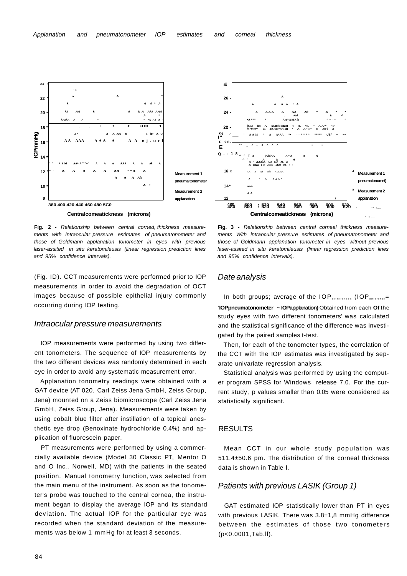

**Fig. 2 -** Relationship between central corned, thickness measurements with Intraocular pressure estimates of pneumatonometer and those of Goldmann applanation tonometer in eyes with previous laser-assited in situ keratomileusis (linear regression prediction lines and 95% confidence intervals).

(Fig. ID). CCT measurements were performed prior to IOP measurements in order to avoid the degradation of OCT images because of possible epithelial injury commonly occurring during IOP testing.

#### Intraocular pressure measurements

IOP measurements were performed by using two different tonometers. The sequence of IOP measurements by the two different devices was randomly determined in each eye in order to avoid any systematic measurement error.

Applanation tonometry readings were obtained with a GAT device (AT 020, Carl Zeiss Jena GmbH, Zeiss Group, Jena) mounted on a Zeiss biomicroscope (Carl Zeiss Jena GmbH, Zeiss Group, Jena). Measurements were taken by using cobalt blue filter after instillation of a topical anesthetic eye drop (Benoxinate hydrochloride 0.4%) and application of fluorescein paper.

PT measurements were performed by using a commercially available device (Model 30 Classic PT, Mentor O and O Inc., Norwell, MD) with the patients in the seated position. Manual tonometry function, was selected from the main menu of the instrument. As soon as the tonometer's probe was touched to the central cornea, the instrument began to display the average IOP and its standard deviation. The actual IOP for the particular eye was recorded when the standard deviation of the measurements was below 1 mmHg for at least 3 seconds.



**Fig. 3 -** Relationship between central corneal thickness measurements With intraocular pressure estimates of pneumatonometer and those of Goldmann applanation tonometer in eyes without previous laser-assited in situ keratomileusis (linear regression prediction lines and 95% confidence intervals).

## Date analysis

gated by the paired samples t-test.

In both groups; average of the IOP differences (IOP difference= **'IOPpneumatonometer ~ IOPapplanation)** Obtained from each **Of** the study eyes with two different tonometers' was calculated and the statistical significance of the difference was investi-

Then, for each of the tonometer types, the correlation of the CCT with the IOP estimates was investigated by separate univariate regression analysis.

Statistical analysis was performed by using the computer program SPSS for Windows, release 7.0. For the current study, p values smaller than 0.05 were considered as statistically significant.

#### RESULTS

Mean CCT in our whole study population was 511.4±50.6 pm. The distribution of the corneal thickness data is shown in Table I.

## Patients with previous LASIK (Group 1)

GAT estimated IOP statistically lower than PT in eyes with previous LASIK. There was 3.8±1,8 mmHg difference between the estimates of those two tonometers (p<0.0001,Tab.ll).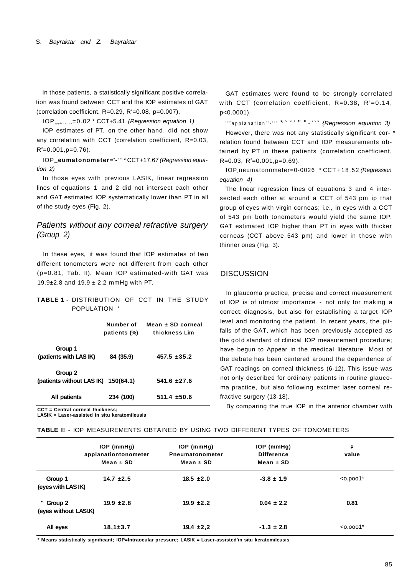In those patients, a statistically significant positive correlation was found between CCT and the IOP estimates of GAT (correlation coefficient, R=0.29, R $^{2}$ =0.08, p=0.007).

 $IOP$ <sub>applanation</sub>=0.02 \* CCT+5.41 (Regression equation 1)

IOP estimates of PT, on the other hand, did not show any correlation with CCT (correlation coefficient, R=0.03,  $R^2 = 0.001$ , p=0.76).

**IOP**<sub>rr</sub>eumatonometer=<sup>°</sup>-<sup>••2</sup> \* CCT+17.67 (Regression equation 2)

In those eyes with previous LASIK, linear regression lines of equations 1 and 2 did not intersect each other and GAT estimated IOP systematically lower than PT in all of the study eyes (Fig. 2).

## Patients without any corneal refractive surgery (Group 2)

In these eyes, it was found that IOP estimates of two different tonometers were not different from each other (p=0.81, Tab. II). Mean IOP estimated-with GAT was 19.9 $\pm$ 2.8 and 19.9  $\pm$  2.2 mmHg with PT.

| TABLE 1 - DISTRIBUTION OF CCT IN THE STUDY |  |  |  |
|--------------------------------------------|--|--|--|
| POPULATION '                               |  |  |  |

|                                                   | Number of<br>patients (%) | Mean $\pm$ SD corneal<br>thickness Lim |
|---------------------------------------------------|---------------------------|----------------------------------------|
| Group 1<br>(patients with LAS IK)                 | 84 (35.9)                 | $457.5 + 35.2$                         |
| Group 2<br>(patients without LAS $IK$ ) 150(64.1) |                           | $541.6 + 27.6$                         |
| All patients                                      | 234 (100)                 | $511.4 \pm 50.6$                       |

**CCT = Central corneal thickness;** 

**LASIK = Laser-assisted in situ keratomileusis** 

GAT estimates were found to be strongly correlated with CCT (correlation coefficient,  $R=0.38$ ,  $R^2=0.14$ , p<0.0001). **Comparison** is the conduction of the set of the conduction of the set of the set of the set of the set of the set of the set of the set of the set of the set of the set of the set of the set of the set of the set of the s

However, there was not any statistically significant cor- \* relation found between CCT and IOP measurements obtained by PT in these patients (correlation coefficient,  $R=0.03$ ,  $R^2=0.001$ ,  $p=0.69$ ).

IOP neumatonometer=0-0026 \* CCT+18.52 (Regression equation 4)

The linear regression lines of equations 3 and 4 intersected each other at around a CCT of 543 pm ip that group of eyes with virgin corneas; i.e., in eyes with a CCT of 543 pm both tonometers would yield the same IOP. GAT estimated IOP higher than PT in eyes with thicker corneas (CCT above 543 pm) and lower in those with thinner ones (Fig. 3).

## **DISCUSSION**

In glaucoma practice, precise and correct measurement of IOP is of utmost importance - not only for making a correct: diagnosis, but also for establishing a target IOP level and monitoring the patient. In recent years, the pitfalls of the GAT, which has been previously accepted as the gold standard of clinical IOP measurement procedure; have begun to Appear in the medical literature. Most of the debate has been centered around the dependence of GAT readings on corneal thickness (6-12). This issue was not only described for ordinary patients in routine glaucoma practice, but also following excimer laser corneal refractive surgery (13-18).

By comparing the true IOP in the anterior chamber with

| <b>TABLE I! - IOP MEASUREMENTS OBTAINED BY USING TWO DIFFERENT TYPES OF TONOMETERS</b> |  |
|----------------------------------------------------------------------------------------|--|
|----------------------------------------------------------------------------------------|--|

|                                    | $IOP$ (mm $Hg$ )<br>applanationtonometer | $IOP$ (mmHg)<br>Pneumatonometer | $IOP$ (mm $Hg$ )<br><b>Difference</b> | P<br>value  |
|------------------------------------|------------------------------------------|---------------------------------|---------------------------------------|-------------|
|                                    | Mean $\pm$ SD                            | Mean $\pm$ SD                   | Mean $\pm$ SD                         |             |
| Group 1<br>(eyes with LAS IK)      | $14.7 \pm 2.5$                           | $18.5 \pm 2.0$                  | $-3.8 \pm 1.9$                        | $< 0.0001*$ |
| " Group 2<br>(eyes without LASI.K) | $19.9 \pm 2.8$                           | $19.9 \pm 2.2$                  | $0.04 \pm 2.2$                        | 0.81        |
| All eyes                           | $18,1 \pm 3.7$                           | $19.4 \pm 2.2$                  | $-1.3 \pm 2.8$                        | $< 0.0001*$ |

**\* Means statistically significant; IOP=lntraocular pressure; LASIK = Laser-assisted'in situ keratomileusis**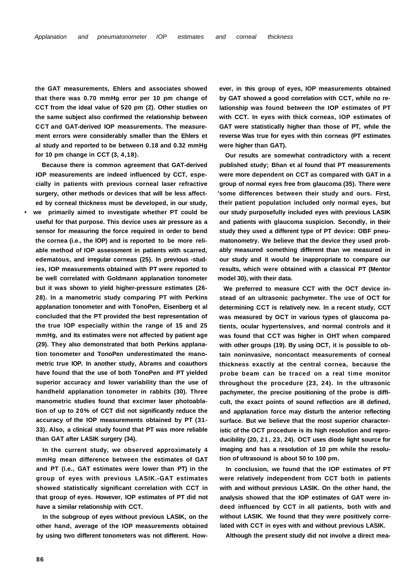**the GAT measurements, Ehlers and associates showed that there was 0.70 mmHg error per 10 pm change of CCT from the ideal value of 520 pm (2). Other studies on the same subject also confirmed the relationship between CCT and GAT-derived IOP measurements. The measurement errors were considerably smaller than the Ehlers et al study and reported to be between 0.18 and 0.32 mmHg for 10 pm change in CCT (3, 4,18).** 

**Because there is common agreement that GAT-derived IOP measurements are indeed influenced by CCT, especially in patients with previous corneal laser refractive surgery, other methods or devices that will be less affected by corneal thickness must be developed, in our study, • we primarily aimed to investigate whether PT could be useful for that purpose. This device uses air pressure as a sensor for measuring the force required in order to bend the cornea (i.e., the IOP) and is reported to be more reliable method of IOP assessment in patients with scarred, edematous, and irregular corneas (25). In previous -studies, IOP measurements obtained with PT were reported to be well correlated with Goldmann applanation tonometer but it was shown to yield higher-pressure estimates (26- 28). In a manometric study comparing PT with Perkins applanation tonometer and with TonoPen, Eisenberg et al concluded that the PT provided the best representation of the true IOP especially within the range of 15 and 25 mmHg, and its estimates were not affected by patient age (29). They also demonstrated that both Perkins applanation tonometer and TonoPen underestimated the manometric true IOP. In another study, Abrams and coauthors have found that the use of both TonoPen and PT yielded superior accuracy and lower variability than the use of handheld applanation tonometer in rabbits (30). Three manometric studies found that excimer laser photoablation of up to 20% of CCT did not significantly reduce the accuracy of the IOP measurements obtained by PT (31- 33). Also, a clinical study found that PT was more reliable than GAT after LASIK surgery (34).** 

**In the current study, we observed approximately 4 mmHg mean difference between the estimates of GAT and PT (i.e., GAT estimates were lower than PT) in the group of eyes with previous LASIK.-GAT estimates showed statistically significant correlation with CCT in that group of eyes. However, IOP estimates of PT did not have a similar relationship with CCT.** 

**In the subgroup of eyes without previous LASIK, on the other hand, average of the IOP measurements obtained by using two different tonometers was not different. How-** **ever, in this group of eyes, IOP measurements obtained by GAT showed a good correlation with CCT, while no relationship was found between the IOP estimates of PT with CCT. In eyes with thick corneas, IOP estimates of GAT were statistically higher than those of PT, while the reverse Was true for eyes with thin corneas (PT estimates were higher than GAT).** 

**Our results are somewhat contradictory with a recent published study; Bhan et al found that PT measurements were more dependent on CCT as compared with GAT in a group of normal eyes free from glaucoma (35). There were 'some differences between their study and ours. First, their patient population included only normal eyes, but our study purposefully included eyes with previous LASIK and patients with glaucoma suspicion. Secondly, in their study they used a different type of PT device: OBF pneumatonometry. We believe that the device they used probably measured something different than we measured in our study and it would be inappropriate to compare our results, which were obtained with a classical PT (Mentor model 30), with their data.** 

**We preferred to measure CCT with the OCT device instead of an ultrasonic pachymeter. The use of OCT for determining CCT is relatively new. In a recent study, CCT was measured by OCT in various types of glaucoma patients, ocular hypertensives, and normal controls and it was found that CCT was higher in OHT when compared with other groups (19). By using OCT, it is possible to obtain noninvasive, noncontact measurements of corneal thickness exactly at the central cornea, because the probe beam can be traced on a real time monitor throughout the procedure (23, 24). In the ultrasonic pachymeter, the precise positioning of the probe is difficult, the exact points of sound reflection are ill defined, and applanation force may disturb the anterior reflecting surface. But we believe that the most superior characteristic of the OCT procedure is its high resolution and reproducibility (20, 21, 23, 24). OCT uses diode light source for imaging and has a resolution of 10 pm while the resolution of ultrasound is about 50 to 100 pm.** 

**In conclusion, we found that the IOP estimates of PT were relatively independent from CCT both in patients with and without previous LASIK. On the other hand, the analysis showed that the IOP estimates of GAT were indeed influenced by CCT in all patients, both with and without LASIK. We found that they were positively correlated with CCT in eyes with and without previous LASIK.** 

**Although the present study did not involve a direct mea-**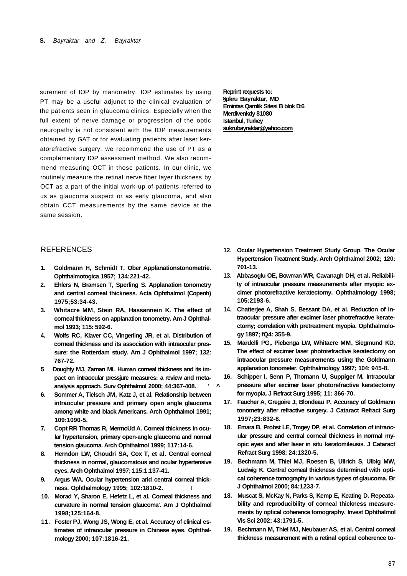surement of IOP by manometry, IOP estimates by using PT may be a useful adjunct to the clinical evaluation of the patients seen in glaucoma clinics. Especially when the full extent of nerve damage or progression of the optic neuropathy is not consistent with the IOP measurements obtained by GAT or for evaluating patients after laser keratorefractive surgery, we recommend the use of PT as a complementary IOP assessment method. We also recommend measuring OCT in those patients. In our clinic, we routinely measure the retinal nerve fiber layer thickness by OCT as a part of the initial work-up of patients referred to us as glaucoma suspect or as early glaucoma, and also obtain CCT measurements by the same device at the same session.

## **REFERENCES**

- **1. Goldmann H, Schmidt T. Ober Applanationstonometrie. Ophthalmotogica 1957; 134:221-42.**
- **2. Ehlers N, Bramsen T, Sperling S. Applanation tonometry and central corneal thickness. Acta Ophthalmol (Copenh) 1975;53:34-43.**
- **3. Whitacre MM, Stein RA, Hassannein K. The effect of corneal thickness on applanation tonometry. Am J Ophthalmol 1993; 115: 592-6.**
- **4. Wolfs RC, Klaver CC, Vingerling JR, et al. Distribution of corneal thickness and its association with intraocular pressure: the Rotterdam study. Am J Ophthalmol 1997; 132: 767-72.**
- **5 Doughty MJ, Zaman ML Human corneal thickness and its impact on intraocular pressjure measures: a review and metaanalysis approach. Surv Ophthalmol 2000; 44:367-408. ' ^**
- **6. Sommer A, Tielsch JM, Katz J, et al. Relationship between intraocular pressure and primary open angle glaucoma among white and black Americans. Arch Ophthalmol 1991; 109:1090-5.**
- **7. Copt RR Thomas R, MermoUd A. Corneal thickness in ocular hypertension, primary open-angle glaucoma and normal tension glaucoma. Arch Ophthalmol 1999; 117:14-6.**
- **8. Herndon LW, Choudri SA, Cox T, et al. Central corneal thickness in normal, glaucomatous and ocular hypertensive eyes. Arch Ophthalmol 1997; 115:1.137-41.**
- **9. Argus WA. Ocular hypertension arid central corneal thickness. Ophthalmology 1995; 102:1810-2.** I
- **10. Morad Y, Sharon E, Hefetz L, et al. Corneal thickness and curvature in normal tension glaucoma'. Am J Ophthalmol 1998;125:164-8.**
- **11. Foster PJ, Wong JS, Wong E, et al. Accuracy of clinical estimates of intraocular pressure in Chinese eyes. Ophthalmology 2000; 107:1816-21.**

**Reprint requests to: §pkru Bayraktar, MD Emintas Qamlik Sitesi B blok D:6 Merdivenkdy 81080 Istanbul, Turkey [sukrubayraktar@yahoo.com](mailto:sukrubayraktar@yahoo.com)** 

- **12. Ocular Hypertension Treatment Study Group. The Ocular Hypertension Treatment Study. Arch Ophthalmol 2002; 120: 701-13.**
- **13. Abbasoglu OE, Bowman WR, Cavanagh DH, et al. Reliability of intraocular pressure measurements after myopic excimer photorefractive keratectomy. Ophthalmology 1998; 105:2193-6.**
- **14. Chatterjee A, Shah S, Bessant DA, et al. Reduction of intraocular pressure after excimer laser photrefractive keratectorny; correlation with pretreatment myopia. Ophthalmology 1897; fQ4: 355-9.**
- **15. Mardelli PG,. Piebenga LW, Whitacre MM, Siegmund KD. The effect of excimer laser photorefractive keratectomy on intraocular pressure measurements using the Goldmann applanation tonometer. Ophthalmology 1997; 104: 945-8.**
- **16. Schipper I, Senn P, Thomann U, Suppiger M. Intraocular pressure after excimer laser photorefractive keratectomy for myopia. J Refract Surg 1995; 11: 366-70.**
- **17. Faucher A, Gregoire J, Blondeau P. Accuracy of Goldmann tonometry after refractive surgery. J Cataract Refract Surg 1997;23:832-8.**
- **18. Emara B, Probst LE, Tmgey DP, et al. Correlation of intraocular pressure and central corneal thickness in normal myopic eyes and after laser in situ keratomileusis. J Cataract Refract Surg 1998; 24:1320-5.**
- **19. Bechmann M, Thiel MJ, Roesen B, Ullrich S, Ulbig MW, Ludwig K. Central corneal thickness determined with optical coherence tomography in various types of glaucoma. Br J Ophthalmol 2000; 84:1233-7.**
- **18. Muscat S, McKay N, Parks S, Kemp E, Keating D. Repeatability and reproducibility of corneal thickness measurements by optical coherence tomography. Invest Ophthalmol Vis Sci 2002; 43:1791-5.**
- **19. Bechmann M, Thiel MJ, Neubauer AS, et al. Central corneal thickness measurement with a retinal optical coherence to-**